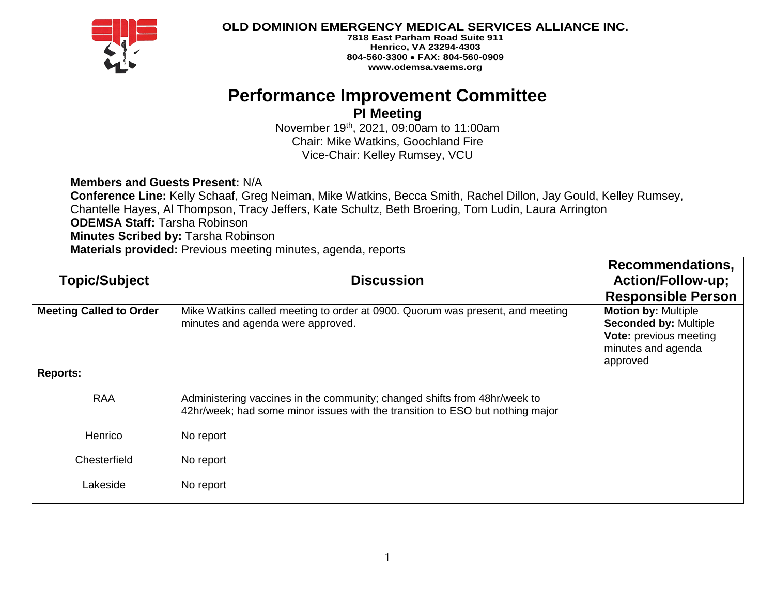

**OLD DOMINION EMERGENCY MEDICAL SERVICES ALLIANCE INC.**

**7818 East Parham Road Suite 911 Henrico, VA 23294-4303 804-560-3300** • **FAX: 804-560-0909 www.odemsa.vaems.org**

# **Performance Improvement Committee**

## **PI Meeting**

November 19th, 2021, 09:00am to 11:00am Chair: Mike Watkins, Goochland Fire Vice-Chair: Kelley Rumsey, VCU

### **Members and Guests Present:** N/A

**Conference Line:** Kelly Schaaf, Greg Neiman, Mike Watkins, Becca Smith, Rachel Dillon, Jay Gould, Kelley Rumsey, Chantelle Hayes, Al Thompson, Tracy Jeffers, Kate Schultz, Beth Broering, Tom Ludin, Laura Arrington **ODEMSA Staff:** Tarsha Robinson **Minutes Scribed by:** Tarsha Robinson **Materials provided:** Previous meeting minutes, agenda, reports

| <b>Topic/Subject</b>           | <b>Discussion</b>                                                                                                                                          | <b>Recommendations,</b><br><b>Action/Follow-up;</b><br><b>Responsible Person</b>                                              |
|--------------------------------|------------------------------------------------------------------------------------------------------------------------------------------------------------|-------------------------------------------------------------------------------------------------------------------------------|
| <b>Meeting Called to Order</b> | Mike Watkins called meeting to order at 0900. Quorum was present, and meeting<br>minutes and agenda were approved.                                         | <b>Motion by: Multiple</b><br><b>Seconded by: Multiple</b><br><b>Vote: previous meeting</b><br>minutes and agenda<br>approved |
| <b>Reports:</b>                |                                                                                                                                                            |                                                                                                                               |
| <b>RAA</b>                     | Administering vaccines in the community; changed shifts from 48hr/week to<br>42hr/week; had some minor issues with the transition to ESO but nothing major |                                                                                                                               |
| Henrico                        | No report                                                                                                                                                  |                                                                                                                               |
| Chesterfield                   | No report                                                                                                                                                  |                                                                                                                               |
| Lakeside                       | No report                                                                                                                                                  |                                                                                                                               |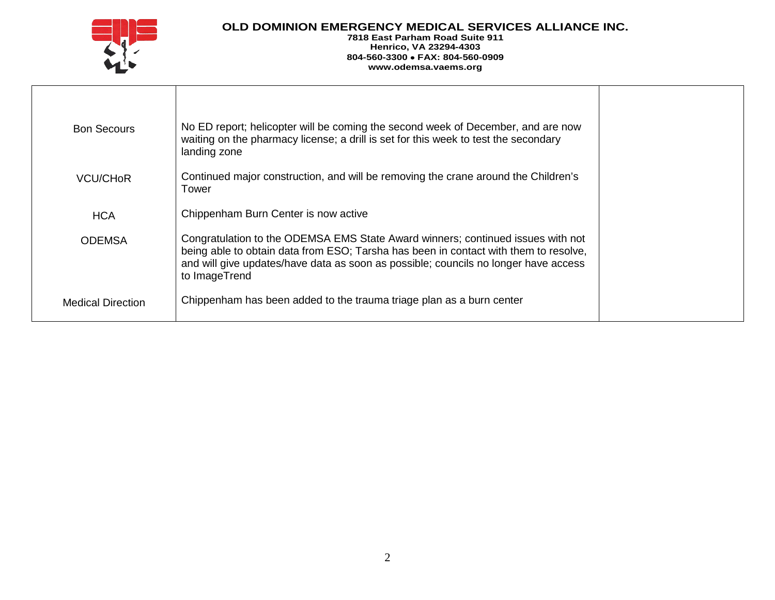

#### **OLD DOMINION EMERGENCY MEDICAL SERVICES ALLIANCE INC.**

**7818 East Parham Road Suite 911 Henrico, VA 23294-4303 804-560-3300** • **FAX: 804-560-0909 www.odemsa.vaems.org**

| <b>Bon Secours</b>       | No ED report; helicopter will be coming the second week of December, and are now<br>waiting on the pharmacy license; a drill is set for this week to test the secondary<br>landing zone                                                                                         |  |
|--------------------------|---------------------------------------------------------------------------------------------------------------------------------------------------------------------------------------------------------------------------------------------------------------------------------|--|
| VCU/CH <sub>OR</sub>     | Continued major construction, and will be removing the crane around the Children's<br>Tower                                                                                                                                                                                     |  |
| <b>HCA</b>               | Chippenham Burn Center is now active                                                                                                                                                                                                                                            |  |
| <b>ODEMSA</b>            | Congratulation to the ODEMSA EMS State Award winners; continued issues with not<br>being able to obtain data from ESO; Tarsha has been in contact with them to resolve,<br>and will give updates/have data as soon as possible; councils no longer have access<br>to ImageTrend |  |
| <b>Medical Direction</b> | Chippenham has been added to the trauma triage plan as a burn center                                                                                                                                                                                                            |  |